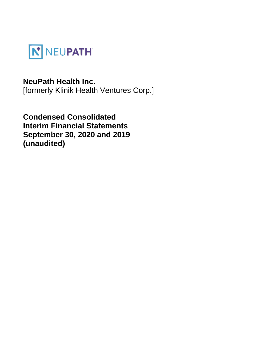

# **NeuPath Health Inc.**

[formerly Klinik Health Ventures Corp.]

**Condensed Consolidated Interim Financial Statements September 30, 2020 and 2019 (unaudited)**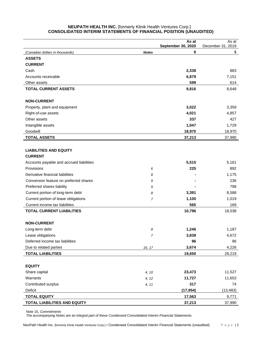# **NEUPATH HEALTH INC.** [formerly Klinik Health Ventures Corp.] **CONSOLIDATED INTERIM STATEMENTS OF FINANCIAL POSITION (UNAUDITED)**

|                                          |                | As at<br>September 30, 2020 | As at<br>December 31, 2019 |
|------------------------------------------|----------------|-----------------------------|----------------------------|
| (Canadian dollars in thousands)          | <b>Notes</b>   | \$                          | \$                         |
| <b>ASSETS</b>                            |                |                             |                            |
| <b>CURRENT</b>                           |                |                             |                            |
| Cash                                     |                | 2,338                       | 883                        |
| Accounts receivable                      |                | 6,879                       | 7,151                      |
| Other assets                             |                | 599                         | 614                        |
| <b>TOTAL CURRENT ASSETS</b>              |                | 9,816                       | 8,648                      |
|                                          |                |                             |                            |
| <b>NON-CURRENT</b>                       |                |                             |                            |
| Property, plant and equipment            |                | 3,022                       | 3,359                      |
| Right-of-use assets                      |                | 4,021                       | 4,857                      |
| Other assets                             |                | 337                         | 427                        |
| Intangible assets                        |                | 1,047                       | 1,729                      |
| Goodwill                                 |                | 18,970                      | 18,970                     |
| <b>TOTAL ASSETS</b>                      |                | 37,213                      | 37,990                     |
|                                          |                |                             |                            |
| <b>LIABILITIES AND EQUITY</b>            |                |                             |                            |
| <b>CURRENT</b>                           |                |                             |                            |
| Accounts payable and accrued liabilities |                | 5,515                       | 5,161                      |
| Provisions                               | 6              | 225                         | 892                        |
| Derivative financial liabilities         | 8              |                             | 1,175                      |
| Conversion feature on preferred shares   | 9              |                             | 236                        |
| Preferred shares liability               | 9              |                             | 798                        |
| Current portion of long-term debt        | 8              | 3,391                       | 8,588                      |
| Current portion of lease obligations     | 7              | 1,100                       | 1,019                      |
| Current income tax liabilities           |                | 565                         | 169                        |
| <b>TOTAL CURRENT LIABILITIES</b>         |                | 10,796                      | 18,038                     |
|                                          |                |                             |                            |
| <b>NON-CURRENT</b>                       |                |                             |                            |
| Long-term debt                           | 8              | 1,246                       | 1,187                      |
| Lease obligations                        | $\overline{7}$ | 3,838                       | 4,672                      |
| Deferred income tax liabilities          |                | 96                          | 96                         |
| Due to related parties                   | 16, 17         | 3,674                       | 4,226                      |
| <b>TOTAL LIABILITIES</b>                 |                | 19,650                      | 28,219                     |
|                                          |                |                             |                            |
| <b>EQUITY</b>                            |                |                             |                            |
| Share capital                            | 4, 10          | 23,473                      | 11,527                     |
| Warrants                                 | 4, 12          | 11,727                      | 11,653                     |
| Contributed surplus                      | 4, 11          | 317                         | 74                         |
| Deficit                                  |                | (17, 954)                   | (13, 483)                  |
| <b>TOTAL EQUITY</b>                      |                | 17,563                      | 9,771                      |
| TOTAL LIABILITIES AND EQUITY             |                | 37,213                      | 37,990                     |

Note 15, *Commitments*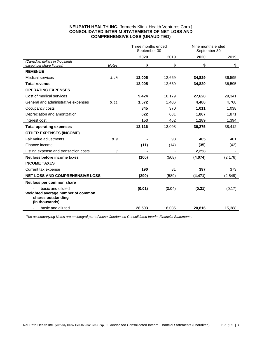# **NEUPATH HEALTH INC.** [formerly Klinik Health Ventures Corp.] **CONSOLIDATED INTERIM STATEMENTS OF NET LOSS AND COMPREHENSIVE LOSS (UNAUDITED)**

|                                                                           |              | Three months ended<br>September 30 |        | Nine months ended<br>September 30 |          |  |
|---------------------------------------------------------------------------|--------------|------------------------------------|--------|-----------------------------------|----------|--|
|                                                                           |              | 2020                               | 2019   | 2020                              | 2019     |  |
| (Canadian dollars in thousands,<br>except per share figures)              | <b>Notes</b> | \$                                 | \$     | \$                                | \$       |  |
| <b>REVENUE</b>                                                            |              |                                    |        |                                   |          |  |
| <b>Medical services</b>                                                   | 3, 18        | 12,005                             | 12,669 | 34,829                            | 36,595   |  |
| <b>Total revenue</b>                                                      |              | 12,005                             | 12,669 | 34,829                            | 36,595   |  |
| <b>OPERATING EXPENSES</b>                                                 |              |                                    |        |                                   |          |  |
| Cost of medical services                                                  |              | 9,424                              | 10,179 | 27,628                            | 29,341   |  |
| General and administrative expenses                                       | 5, 11        | 1,572                              | 1,406  | 4,480                             | 4,768    |  |
| Occupancy costs                                                           |              | 345                                | 370    | 1,011                             | 1,038    |  |
| Depreciation and amortization                                             |              | 622                                | 681    | 1,867                             | 1,871    |  |
| Interest cost                                                             |              | 153                                | 462    | 1,289                             | 1,394    |  |
| <b>Total operating expenses</b>                                           |              | 12,116                             | 13,098 | 36,275                            | 38,412   |  |
| <b>OTHER EXPENSES (INCOME)</b>                                            |              |                                    |        |                                   |          |  |
| Fair value adjustments                                                    | 8.9          |                                    | 93     | 405                               | 401      |  |
| Finance income                                                            |              | (11)                               | (14)   | (35)                              | (42)     |  |
| Listing expense and transaction costs                                     | 4            |                                    |        | 2,258                             |          |  |
| Net loss before income taxes                                              |              | (100)                              | (508)  | (4,074)                           | (2, 176) |  |
| <b>INCOME TAXES</b>                                                       |              |                                    |        |                                   |          |  |
| Current tax expense                                                       |              | 190                                | 81     | 397                               | 373      |  |
| <b>NET LOSS AND COMPREHENSIVE LOSS</b>                                    |              | (290)                              | (589)  | (4, 471)                          | (2, 549) |  |
| Net loss per common share                                                 |              |                                    |        |                                   |          |  |
| basic and diluted                                                         |              | (0.01)                             | (0.04) | (0.21)                            | (0.17)   |  |
| Weighted average number of common<br>shares outstanding<br>(in thousands) |              |                                    |        |                                   |          |  |
| basic and diluted                                                         |              | 28.503                             | 16,085 | 20,816                            | 15,388   |  |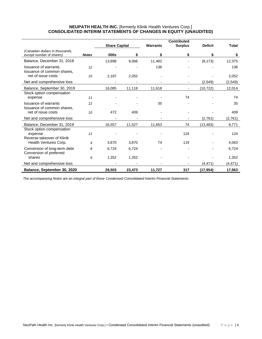# **NEUPATH HEALTH INC.** [formerly Klinik Health Ventures Corp.] **CONSOLIDATED INTERIM STATEMENTS OF CHANGES IN EQUITY (UNAUDITED)**

|                                                                    |              |                      |        |                 | <b>Contributed</b> |                |              |
|--------------------------------------------------------------------|--------------|----------------------|--------|-----------------|--------------------|----------------|--------------|
|                                                                    |              | <b>Share Capital</b> |        | <b>Warrants</b> | <b>Surplus</b>     | <b>Deficit</b> | <b>Total</b> |
| (Canadian dollars in thousands,<br>except number of shares)        | <b>Notes</b> | 000s                 | \$     | \$              | \$                 | \$             | \$           |
| Balance, December 31, 2018                                         |              | 13,898               | 9,066  | 11,482          |                    | (8, 173)       | 12,375       |
| <b>Issuance of warrants</b><br>Issuance of common shares,          | 12           |                      |        | 136             |                    |                | 136          |
| net of issue costs                                                 | 10           | 2,187                | 2,052  |                 |                    |                | 2,052        |
| Net and comprehensive loss                                         |              |                      |        |                 |                    | (2,549)        | (2, 549)     |
| Balance, September 30, 2019                                        |              | 16,085               | 11,118 | 11,618          |                    | (10, 722)      | 12,014       |
| Stock option compensation<br>expense                               | 11           |                      |        |                 | 74                 |                | 74           |
| <b>Issuance of warrants</b><br>Issuance of common shares,          | 12           |                      |        | 35              |                    |                | 35           |
| net of issue costs                                                 | 10           | 472                  | 409    |                 |                    |                | 409          |
| Net and comprehensive loss                                         |              |                      |        |                 |                    | (2,761)        | (2,761)      |
| Balance, December 31, 2019                                         |              | 16,557               | 11,527 | 11,653          | 74                 | (13, 483)      | 9,771        |
| Stock option compensation<br>expense<br>Reverse takeover of Klinik | 11           |                      |        |                 | 124                |                | 124          |
| Health Ventures Corp.                                              | 4            | 3,870                | 3,870  | 74              | 119                |                | 4,063        |
| Conversion of long-term debt<br>Conversion of preferred            | 8            | 6,724                | 6,724  |                 |                    |                | 6,724        |
| shares                                                             | 9            | 1,352                | 1,352  |                 |                    |                | 1,352        |
| Net and comprehensive loss                                         |              |                      |        |                 |                    | (4, 471)       | (4, 471)     |
| Balance, September 30, 2020                                        |              | 28,503               | 23,473 | 11,727          | 317                | (17, 954)      | 17,563       |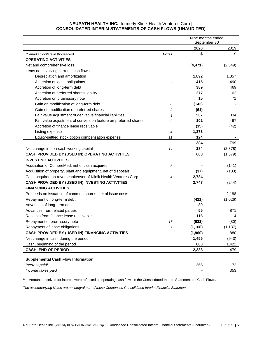# **NEUPATH HEALTH INC.** [formerly Klinik Health Ventures Corp.] **CONSOLIDATED INTERIM STATEMENTS OF CASH FLOWS (UNAUDITED)**

|                                                                   | Nine months ended<br>September 30 |          |          |
|-------------------------------------------------------------------|-----------------------------------|----------|----------|
|                                                                   |                                   | 2020     | 2019     |
| (Canadian dollars in thousands)                                   | <b>Notes</b>                      | \$       | \$       |
| <b>OPERATING ACTIVITIES</b>                                       |                                   |          |          |
| Net and comprehensive loss                                        |                                   | (4, 471) | (2,549)  |
| Items not involving current cash flows:                           |                                   |          |          |
| Depreciation and amortization                                     |                                   | 1,892    | 1,857    |
| Accretion of lease obligations                                    | $\overline{7}$                    | 415      | 490      |
| Accretion of long-term debt                                       |                                   | 389      | 469      |
| Accretion of preferred shares liability                           |                                   | 277      | 102      |
| Accretion on promissory note                                      |                                   | 15       | 71       |
| Gain on modification of long-term debt                            | 8                                 | (143)    |          |
| Gain on modification of preferred shares                          | 9                                 | (61)     |          |
| Fair value adjustment of derivative financial liabilities         | 8                                 | 507      | 334      |
| Fair value adjustment of conversion feature on preferred shares   | 9                                 | 102      | 67       |
| Accretion of finance lease receivable                             |                                   | (35)     | (42)     |
| Listing expense                                                   | 4                                 | 1,373    |          |
| Equity-settled stock option compensation expense                  | 11                                | 124      |          |
|                                                                   |                                   | 384      | 799      |
| Net change in non-cash working capital                            | 14                                | 284      | (2,378)  |
| CASH PROVIDED BY (USED IN) OPERATING ACTIVITIES                   |                                   | 668      | (1, 579) |
| <b>INVESTING ACTIVITIES</b>                                       |                                   |          |          |
| Acquisition of CompreMed, net of cash acquired                    | 5                                 |          | (141)    |
| Acquisition of property, plant and equipment, net of disposals    |                                   | (37)     | (103)    |
| Cash acquired on reverse takeover of Klinik Health Ventures Corp. | 4                                 | 2,784    |          |
| CASH PROVIDED BY (USED IN) INVESTING ACTIVITIES                   |                                   | 2,747    | (244)    |
| <b>FINANCING ACTIVITIES</b>                                       |                                   |          |          |
| Proceeds on issuance of common shares, net of issue costs         |                                   |          | 2,188    |
| Repayment of long-term debt                                       |                                   | (421)    | (1,026)  |
| Advances of long-term debt                                        |                                   | 80       |          |
| Advances from related parties                                     |                                   | 55       | 871      |
| Receipts from finance lease receivable                            |                                   | 116      | 114      |
| Repayment of promissory note                                      | 17                                | (622)    | (80)     |
| Repayment of lease obligations                                    | 7                                 | (1, 168) | (1, 187) |
| CASH PROVIDED BY (USED IN) FINANCING ACTIVITIES                   |                                   | (1,960)  | 880      |
| Net change in cash during the period                              |                                   | 1,455    | (943)    |
| Cash, beginning of the period                                     |                                   | 883      | 1,422    |
| <b>CASH, END OF PERIOD</b>                                        |                                   | 2,338    | 479      |
|                                                                   |                                   |          |          |
| <b>Supplemental Cash Flow Information</b>                         |                                   |          |          |
| Interest paid <sup>1</sup>                                        |                                   | 266      | 172      |
| Income taxes paid                                                 |                                   |          | 353      |

<sup>1.</sup> Amounts received for interest were reflected as operating cash flows in the Consolidated Interim Statements of Cash Flows.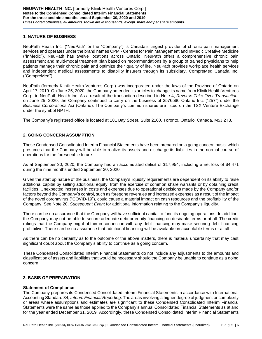# **1. NATURE OF BUSINESS**

NeuPath Health Inc. ("NeuPath" or the "Company") is Canada's largest provider of chronic pain management services and operates under the brand names CPM - Centres for Pain Management and InMedic Creative Medicine ("InMedic"). NeuPath has twelve locations across Ontario. NeuPath offers a comprehensive chronic pain assessment and multi-modal treatment plan based on recommendations by a group of trained physicians to help patients manage their chronic pain and optimize their quality of life. NeuPath provides workplace health services and independent medical assessments to disability insurers through its subsidiary, CompreMed Canada Inc. ("CompreMed").

NeuPath (formerly Klinik Health Ventures Corp.) was incorporated under the laws of the Province of Ontario on April 17, 2019. On June 25, 2020, the Company amended its articles to change its name from Klinik Health Ventures Corp. to NeuPath Health Inc. As a result of the transaction described in Note 4, *Reverse Take Over Transaction*, on June 25, 2020, the Company continued to carry on the business of 2576560 Ontario Inc. ("257") under the *Business Corporations Act* (Ontario). The Company's common shares are listed on the TSX Venture Exchange under the symbol NPTH.

The Company's registered office is located at 181 Bay Street, Suite 2100, Toronto, Ontario, Canada, M5J 2T3.

# **2. GOING CONCERN ASSUMPTION**

These Condensed Consolidated Interim Financial Statements have been prepared on a going concern basis, which presumes that the Company will be able to realize its assets and discharge its liabilities in the normal course of operations for the foreseeable future.

As at September 30, 2020, the Company had an accumulated deficit of \$17,954, including a net loss of \$4,471 during the nine months ended September 30, 2020.

Given the start up nature of the business, the Company's liquidity requirements are dependent on its ability to raise additional capital by selling additional equity, from the exercise of common share warrants or by obtaining credit facilities. Unexpected increases in costs and expenses due to operational decisions made by the Company and/or factors beyond the Company's control, such as foregone revenues and increased expenses as a result of the impact of the novel coronavirus ("COVID-19"), could cause a material impact on cash resources and the profitability of the Company. See Note 20, *Subsequent Event* for additional information relating to the Company's liquidity.

There can be no assurance that the Company will have sufficient capital to fund its ongoing operations. In addition, the Company may not be able to secure adequate debt or equity financing on desirable terms or at all. The credit ratings that the Company might obtain in connection with any debt financing may make securing debt financing prohibitive. There can be no assurance that additional financing will be available on acceptable terms or at all.

As there can be no certainty as to the outcome of the above matters, there is material uncertainty that may cast significant doubt about the Company's ability to continue as a going concern.

These Condensed Consolidated Interim Financial Statements do not include any adjustments to the amounts and classification of assets and liabilities that would be necessary should the Company be unable to continue as a going concern.

# **3. BASIS OF PREPARATION**

# **Statement of Compliance**

The Company prepares its Condensed Consolidated Interim Financial Statements in accordance with International Accounting Standard 34, *Interim Financial Reporting*. The areas involving a higher degree of judgment or complexity or areas where assumptions and estimates are significant to these Condensed Consolidated Interim Financial Statements were the same as those applied to the Company's annual Consolidated Financial Statements as at and for the year ended December 31, 2019. Accordingly, these Condensed Consolidated Interim Financial Statements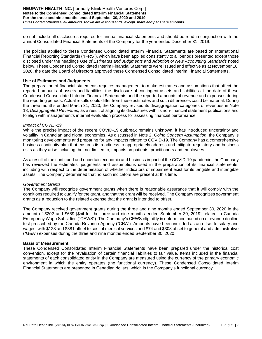#### **NEUPATH HEALTH INC.** [formerly Klinik Health Ventures Corp.] **Notes to the Condensed Consolidated Interim Financial Statements For the three and nine months ended September 30, 2020 and 2019** *Unless noted otherwise, all amounts shown are in thousands, except share and per share amounts.*

do not include all disclosures required for annual financial statements and should be read in conjunction with the annual Consolidated Financial Statements of the Company for the year ended December 31, 2019.

The policies applied to these Condensed Consolidated Interim Financial Statements are based on International Financial Reporting Standards ("IFRS"), which have been applied consistently to all periods presented except those disclosed under the headings *Use of Estimates and Judgments* and *Adoption of New Accounting Standards* noted below. These Condensed Consolidated Interim Financial Statements were issued and effective as at November 18, 2020, the date the Board of Directors approved these Condensed Consolidated Interim Financial Statements.

#### **Use of Estimates and Judgments**

The preparation of financial statements requires management to make estimates and assumptions that affect the reported amounts of assets and liabilities, the disclosure of contingent assets and liabilities at the date of these Condensed Consolidated Interim Financial Statements and the reported amounts of revenue and expenses during the reporting periods. Actual results could differ from these estimates and such differences could be material. During the three months ended March 31, 2020, the Company revised its disaggregation categories of revenues in Note 18, *Disaggregated Revenues,* as a result of aligning its disclosures with its non-financial statement publications and to align with management's internal evaluation process for assessing financial performance.

### *Impact of COVID-19*

While the precise impact of the recent COVID-19 outbreak remains unknown, it has introduced uncertainty and volatility in Canadian and global economies. As discussed in Note 2, *Going Concern Assumption*, the Company is monitoring developments and preparing for any impacts related to COVID-19. The Company has a comprehensive business continuity plan that ensures its readiness to appropriately address and mitigate regulatory and business risks as they arise including, but not limited to, impacts on patients, practitioners and employees.

As a result of the continued and uncertain economic and business impact of the COVID-19 pandemic, the Company has reviewed the estimates, judgments and assumptions used in the preparation of its financial statements, including with respect to the determination of whether indicators of impairment exist for its tangible and intangible assets. The Company determined that no such indicators are present at this time.

# *Government Grants*

The Company will recognize government grants when there is reasonable assurance that it will comply with the conditions required to qualify for the grant, and that the grant will be received. The Company recognizes government grants as a reduction to the related expense that the grant is intended to offset.

The Company received government grants during the three and nine months ended September 30, 2020 in the amount of \$202 and \$689 [\$nil for the three and nine months ended September 30, 2019] related to Canada Emergency Wage Subsidies ("CEWS"). The Company's CEWS eligibility is determined based on a revenue decline test prescribed by the Canada Revenue Agency ("CRA"). Amounts have been included as an offset to salary and wages, with \$128 and \$381 offset to cost of medical services and \$74 and \$308 offset to general and administrative ("G&A") expenses during the three and nine months ended September 30, 2020.

#### **Basis of Measurement**

These Condensed Consolidated Interim Financial Statements have been prepared under the historical cost convention, except for the revaluation of certain financial liabilities to fair value. Items included in the financial statements of each consolidated entity in the Company are measured using the currency of the primary economic environment in which the entity operates (the functional currency). These Condensed Consolidated Interim Financial Statements are presented in Canadian dollars, which is the Company's functional currency.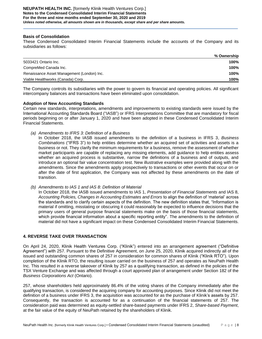## **Basis of Consolidation**

These Condensed Consolidated Interim Financial Statements include the accounts of the Company and its subsidiaries as follows:

|                                            | % Ownership |
|--------------------------------------------|-------------|
| 5033421 Ontario Inc.                       | 100%        |
| CompreMed Canada Inc.                      | 100%        |
| Renaissance Asset Management (London) Inc. | 100%        |
| Viable Healthworks (Canada) Corp.          | 100%        |

The Company controls its subsidiaries with the power to govern its financial and operating policies. All significant intercompany balances and transactions have been eliminated upon consolidation.

### **Adoption of New Accounting Standards**

Certain new standards, interpretations, amendments and improvements to existing standards were issued by the International Accounting Standards Board ("IASB") or IFRS Interpretations Committee that are mandatory for fiscal periods beginning on or after January 1, 2020 and have been adopted in these Condensed Consolidated Interim Financial Statements.

*(a) Amendments to IFRS 3: Definition of a Business* 

In October 2018, the IASB issued amendments to the definition of a business in IFRS 3, *Business Combinations* ("IFRS 3") to help entities determine whether an acquired set of activities and assets is a business or not. They clarify the minimum requirements for a business, remove the assessment of whether market participants are capable of replacing any missing elements, add guidance to help entities assess whether an acquired process is substantive, narrow the definitions of a business and of outputs, and introduce an optional fair value concentration test. New illustrative examples were provided along with the amendments. Since the amendments apply prospectively to transactions or other events that occur on or after the date of first application, the Company was not affected by these amendments on the date of transition.

*(b) Amendments to IAS 1 and IAS 8: Definition of Material* 

In October 2018, the IASB issued amendments to IAS 1, *Presentation of Financial Statements* and IAS 8, *Accounting Policies, Changes in Accounting Estimates and Errors* to align the definition of 'material' across the standards and to clarify certain aspects of the definition. The new definition states that, "Information is material if omitting, misstating or obscuring it could reasonably be expected to influence decisions that the primary users of general purpose financial statements make on the basis of those financial statements, which provide financial information about a specific reporting entity". The amendments to the definition of material did not have a significant impact on these Condensed Consolidated Interim Financial Statements.

# **4. REVERSE TAKE OVER TRANSACTION**

On April 24, 2020, Klinik Health Ventures Corp. ("Klinik") entered into an arrangement agreement ("Definitive Agreement") with 257. Pursuant to the Definitive Agreement, on June 25, 2020, Klinik acquired indirectly all of the issued and outstanding common shares of 257 in consideration for common shares of Klinik ("Klinik RTO"). Upon completion of the Klinik RTO, the resulting issuer carried on the business of 257 and operates as NeuPath Health Inc. This resulted in a reverse takeover of Klinik by 257 as a qualifying transaction, as defined in the policies of the TSX Venture Exchange and was affected through a court approved plan of arrangement under Section 182 of the *Business Corporations Act* (Ontario).

257, whose shareholders held approximately 86.4% of the voting shares of the Company immediately after the qualifying transaction, is considered the acquiring company for accounting purposes. Since Klinik did not meet the definition of a business under IFRS 3, the acquisition was accounted for as the purchase of Klinik's assets by 257. Consequently, the transaction is accounted for as a continuation of the financial statements of 257. The consideration paid was determined as equity-settled share-based payments under IFRS 2, *Share-based Payment*, at the fair value of the equity of NeuPath retained by the shareholders of Klinik.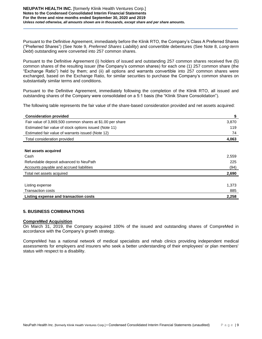Pursuant to the Definitive Agreement, immediately before the Klinik RTO, the Company's Class A Preferred Shares ("Preferred Shares") (See Note 9, *Preferred Shares Liability*) and convertible debentures (See Note 8, *Long-term Debt*) outstanding were converted into 257 common shares.

Pursuant to the Definitive Agreement (i) holders of issued and outstanding 257 common shares received five (5) common shares of the resulting issuer (the Company's common shares) for each one (1) 257 common share (the "Exchange Ratio") held by them; and (ii) all options and warrants convertible into 257 common shares were exchanged, based on the Exchange Ratio, for similar securities to purchase the Company's common shares on substantially similar terms and conditions.

Pursuant to the Definitive Agreement, immediately following the completion of the Klinik RTO, all issued and outstanding shares of the Company were consolidated on a 5:1 basis (the "Klinik Share Consolidation").

The following table represents the fair value of the share-based consideration provided and net assets acquired:

| <b>Consideration provided</b>                             | \$    |
|-----------------------------------------------------------|-------|
| Fair value of 3,869,500 common shares at \$1.00 per share | 3,870 |
| Estimated fair value of stock options issued (Note 11)    | 119   |
| Estimated fair value of warrants issued (Note 12)         | 74    |
| Total consideration provided                              | 4,063 |
|                                                           |       |
| Net assets acquired                                       |       |
| Cash                                                      | 2,559 |
| Refundable deposit advanced to NeuPath                    | 225   |
| Accounts payable and accrued liabilities                  | (94)  |
| Total net assets acquired                                 | 2,690 |
|                                                           |       |
| Listing expense                                           | 1,373 |
| <b>Transaction costs</b>                                  | 885   |
| Listing expense and transaction costs                     | 2,258 |

# **5. BUSINESS COMBINATIONS**

#### **CompreMed Acquisition**

On March 31, 2019, the Company acquired 100% of the issued and outstanding shares of CompreMed in accordance with the Company's growth strategy.

CompreMed has a national network of medical specialists and rehab clinics providing independent medical assessments for employers and insurers who seek a better understanding of their employees' or plan members' status with respect to a disability.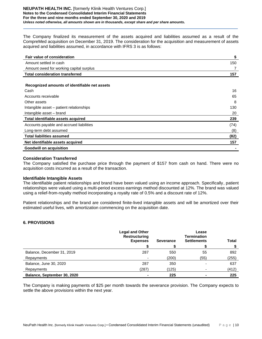#### **NEUPATH HEALTH INC.** [formerly Klinik Health Ventures Corp.] **Notes to the Condensed Consolidated Interim Financial Statements For the three and nine months ended September 30, 2020 and 2019** *Unless noted otherwise, all amounts shown are in thousands, except share and per share amounts.*

The Company finalized its measurement of the assets acquired and liabilities assumed as a result of the CompreMed acquisition on December 31, 2019. The consideration for the acquisition and measurement of assets acquired and liabilities assumed, in accordance with IFRS 3 is as follows:

| <b>Fair value of consideration</b>      |     |
|-----------------------------------------|-----|
| Amount settled in cash                  | 150 |
| Amount owed for working capital surplus |     |
| <b>Total consideration transferred</b>  | 157 |
|                                         |     |

#### **Recognized amounts of identifiable net assets**

| Cash                                     | 16   |
|------------------------------------------|------|
| Accounts receivable                      | 65   |
| Other assets                             | 8    |
| Intangible asset – patient relationships | 130  |
| Intangible asset - brand                 | 20   |
| Total identifiable assets acquired       | 239  |
| Accounts payable and accrued liabilities | (74) |
| Long-term debt assumed                   | (8)  |
| <b>Total liabilities assumed</b>         | (82) |
| Net identifiable assets acquired         | 157  |
| <b>Goodwill on acquisition</b>           |      |

# **Consideration Transferred**

The Company satisfied the purchase price through the payment of \$157 from cash on hand. There were no acquisition costs incurred as a result of the transaction.

#### **Identifiable Intangible Assets**

The identifiable patient relationships and brand have been valued using an income approach. Specifically, patient relationships were valued using a multi-period excess earnings method discounted at 12%. The brand was valued using a relief-from-royalty method incorporating a royalty rate of 0.5% and a discount rate of 12%.

Patient relationships and the brand are considered finite-lived intangible assets and will be amortized over their estimated useful lives, with amortization commencing on the acquisition date.

# **6. PROVISIONS**

|                             | <b>Legal and Other</b><br><b>Restructuring</b><br><b>Expenses</b> | <b>Severance</b> | Lease<br><b>Termination</b><br><b>Settlements</b> | <b>Total</b> |
|-----------------------------|-------------------------------------------------------------------|------------------|---------------------------------------------------|--------------|
|                             |                                                                   |                  |                                                   |              |
| Balance, December 31, 2019  | 287                                                               | 550              | 55                                                | 892          |
| Repayments                  | -                                                                 | (200)            | (55)                                              | (255)        |
| Balance, June 30, 2020      | 287                                                               | 350              |                                                   | 637          |
| Repayments                  | (287)                                                             | (125)            |                                                   | (412)        |
| Balance, September 30, 2020 |                                                                   | 225              | -                                                 | 225          |

The Company is making payments of \$25 per month towards the severance provision. The Company expects to settle the above provisions within the next year.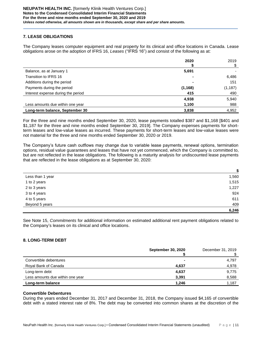# **7. LEASE OBLIGATIONS**

The Company leases computer equipment and real property for its clinical and office locations in Canada. Lease obligations arose on the adoption of IFRS 16, *Leases* ("IFRS 16") and consist of the following as at:

|                                    | 2020           | 2019     |
|------------------------------------|----------------|----------|
|                                    |                | \$       |
| Balance, as at January 1           | 5,691          |          |
| Transition to IFRS 16              | $\blacksquare$ | 6,486    |
| Additions during the period        |                | 151      |
| Payments during the period         | (1, 168)       | (1, 187) |
| Interest expense during the period | 415            | 490      |
|                                    | 4,938          | 5,940    |
| Less amounts due within one year   | 1,100          | 988      |
| Long-term balance, September 30    | 3,838          | 4,952    |

For the three and nine months ended September 30, 2020, lease payments totalled \$387 and \$1,168 [\$401 and \$1,187 for the three and nine months ended September 30, 2019]. The Company expenses payments for shortterm leases and low-value leases as incurred. These payments for short-term leases and low-value leases were not material for the three and nine months ended September 30, 2020 or 2019.

The Company's future cash outflows may change due to variable lease payments, renewal options, termination options, residual value guarantees and leases that have not yet commenced, which the Company is committed to, but are not reflected in the lease obligations. The following is a maturity analysis for undiscounted lease payments that are reflected in the lease obligations as at September 30, 2020:

|                  | \$    |
|------------------|-------|
| Less than 1 year | 1,560 |
| 1 to 2 years     | 1,515 |
| 2 to 3 years     | 1,227 |
| 3 to 4 years     | 924   |
| 4 to 5 years     | 611   |
| Beyond 5 years   | 409   |
|                  | 6,246 |

See Note 15, *Commitments* for additional information on estimated additional rent payment obligations related to the Company's leases on its clinical and office locations.

# **8. LONG-TERM DEBT**

|                                  | <b>September 30, 2020</b> | December 31, 2019 |
|----------------------------------|---------------------------|-------------------|
| Convertible debentures           |                           | 4,797             |
| Royal Bank of Canada             | 4,637                     | 4,978             |
| Long-term debt                   | 4,637                     | 9,775             |
| Less amounts due within one year | 3,391                     | 8,588             |
| Long-term balance                | 1.246                     | 1,187             |

# **Convertible Debentures**

During the years ended December 31, 2017 and December 31, 2018, the Company issued \$4,165 of convertible debt with a stated interest rate of 8%. The debt may be converted into common shares at the discretion of the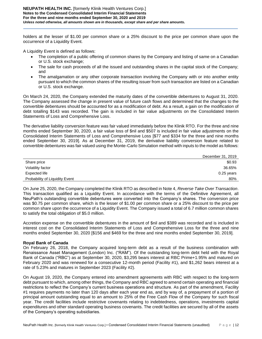holders at the lesser of \$1.00 per common share or a 25% discount to the price per common share upon the occurrence of a Liquidity Event.

A Liquidity Event is defined as follows:

- The completion of a public offering of common shares by the Company and listing of same on a Canadian or U.S. stock exchange;
- The sale for cash proceeds of all the issued and outstanding shares in the capital stock of the Company; and
- The amalgamation or any other corporate transaction involving the Company with or into another entity pursuant to which the common shares of the resulting issuer from such transaction are listed on a Canadian or U.S. stock exchange.

On March 24, 2020, the Company extended the maturity dates of the convertible debentures to August 31, 2020. The Company assessed the change in present value of future cash flows and determined that the changes to the convertible debentures should be accounted for as a modification of debt. As a result, a gain on the modification of debt totalling \$143 was recorded. The gain is included in fair value adjustments on the Consolidated Interim Statements of Loss and Comprehensive Loss.

The derivative liability conversion feature was fair valued immediately before the Klinik RTO. For the three and nine months ended September 30, 2020, a fair value loss of \$nil and \$507 is included in fair value adjustments on the Consolidated Interim Statements of Loss and Comprehensive Loss [\$77 and \$334 for the three and nine months ended September 30, 2019]. As at December 31, 2019, the derivative liability conversion feature related to convertible debentures was fair valued using the Monte-Carlo Simulation method with inputs to the model as follows:

|                                | December 31, 2019 |
|--------------------------------|-------------------|
| Share price                    | \$0.93            |
| Volatility factor              | 36.65%            |
| Expected life                  | $0.25$ years      |
| Probability of Liquidity Event | 80%               |

On June 25, 2020, the Company completed the Klinik RTO as described in Note 4, *Reverse Take Over Transaction*. This transaction qualified as a Liquidity Event. In accordance with the terms of the Definitive Agreement, all NeuPath's outstanding convertible debentures were converted into the Company's shares. The conversion price was \$0.75 per common share, which is the lesser of \$1.00 per common share or a 25% discount to the price per common share upon the occurrence of a Liquidity Event. The Company issued a total of 6.7 million common shares to satisfy the total obligation of \$5.0 million.

Accretion expense on the convertible debentures in the amount of \$nil and \$389 was recorded and is included in interest cost on the Consolidated Interim Statements of Loss and Comprehensive Loss for the three and nine months ended September 30, 2020 [\$156 and \$469 for the three and nine months ended September 30, 2019].

# **Royal Bank of Canada**

On February 26, 2018, the Company acquired long-term debt as a result of the business combination with Renaissance Asset Management (London) Inc. ("RAM"). Of the outstanding long-term debt held with the Royal Bank of Canada ("RBC") as at September 30, 2020, \$3,295 bears interest at RBC Prime+1.95% and matured on February 2020 and was renewed for a consecutive 12-month period (Facility #1), and \$1,262 bears interest at a rate of 5.23% and matures in September 2023 (Facility #2).

On August 19, 2020, the Company entered into amendment agreements with RBC with respect to the long-term debt pursuant to which, among other things, the Company and RBC agreed to amend certain operating and financial restrictions to reflect the Company's current business operations and structure. As part of the amendment, Facility #1 requires payments no later than 120 days after each year end as, and by way of, a prepayment of a portion of principal amount outstanding equal to an amount to 25% of the Free Cash Flow of the Company for such fiscal year. The credit facilities include restrictive covenants relating to indebtedness, operations, investments capital expenditures and other standard operating business covenants. The credit facilities are secured by all of the assets of the Company's operating subsidiaries.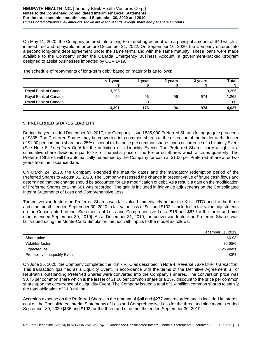On May 11, 2020, the Company entered into a long-term debt agreement with a principal amount of \$40 which is interest free and repayable on or before December 31, 2022. On September 10, 2020, the Company entered into a second long-term debt agreement under the same terms and with the same maturity. These loans were made available to the Company under the Canada Emergency Business Account, a government-backed program designed to assist businesses impacted by COVID-19.

|                      | < 1 year | vear                     | 2 years                  | 3 years | Total |
|----------------------|----------|--------------------------|--------------------------|---------|-------|
| Royal Bank of Canada | 3,295    | $\overline{\phantom{0}}$ | -                        | -       | 3,295 |
| Royal Bank of Canada | 96       | 96                       | 96                       | 974     | 1,262 |
| Royal Bank of Canada | -        | 80                       | $\overline{\phantom{0}}$ |         | 80    |
|                      | 3,391    | 176                      | 96                       | 974     | 4,637 |

The schedule of repayments of long-term debt, based on maturity is as follows:

# **9. PREFERRED SHARES LIABILITY**

During the year ended December 31, 2017, the Company issued 835,000 Preferred Shares for aggregate proceeds of \$835. The Preferred Shares may be converted into common shares at the discretion of the holder at the lesser of \$1.00 per common share or a 25% discount to the price per common shares upon occurrence of a Liquidity Event (See Note 8, *Long-term Debt* for the definition of a Liquidity Event). The Preferred Shares carry a right to a cumulative share dividend equal to 8% of the initial price of the Preferred Shares which accrues quarterly. The Preferred Shares will be automatically redeemed by the Company for cash at \$1.00 per Preferred Share after two years from the issuance date.

On March 24, 2020, the Company extended the maturity dates and the mandatory redemption period of the Preferred Shares to August 31, 2020. The Company assessed the change in present value of future cash flows and determined that the change should be accounted for as a modification of debt. As a result, a gain on the modification of Preferred Shares totalling \$61 was recorded. The gain is included in fair value adjustments on the Consolidated Interim Statements of Loss and Comprehensive Loss.

The conversion feature on Preferred Shares was fair valued immediately before the Klinik RTO and for the three and nine months ended September 30, 2020, a fair value loss of \$nil and \$102 is included in fair value adjustments on the Consolidated Interim Statements of Loss and Comprehensive Loss [\$16 and \$67 for the three and nine months ended September 30, 2019]. As at December 31, 2019, the conversion feature on Preferred Shares was fair valued using the Monte-Carlo Simulation method with inputs to the model as follows:

|                                | December 31, 2019 |
|--------------------------------|-------------------|
| Share price                    | \$0.93            |
| Volatility factor              | 36.65%            |
| Expected life                  | $0.25$ years      |
| Probability of Liquidity Event | 80%               |
|                                |                   |

On June 25, 2020, the Company completed the Klinik RTO as described in Note 4, *Reverse Take Over Transaction*. This transaction qualified as a Liquidity Event. In accordance with the terms of the Definitive Agreement, all of NeuPath's outstanding Preferred Shares were converted into the Company's shares. The conversion price was \$0.75 per common share which is the lesser of \$1.00 per common share or a 25% discount to the price per common share upon the occurrence of a Liquidity Event. The Company issued a total of 1.4 million common shares to satisfy the total obligation of \$1.0 million.

Accretion expense on the Preferred Shares in the amount of \$nil and \$277 was recorded and is included in Interest cost on the Consolidated Interim Statements of Loss and Comprehensive Loss for the three and nine months ended September 30, 2020 [\$36 and \$102 for the three and nine months ended September 30, 2019].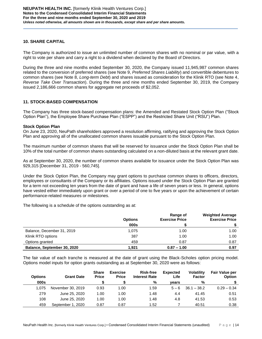# **10. SHARE CAPITAL**

The Company is authorized to issue an unlimited number of common shares with no nominal or par value, with a right to vote per share and carry a right to a dividend when declared by the Board of Directors.

During the three and nine months ended September 30, 2020, the Company issued 11,945,987 common shares related to the conversion of preferred shares (see Note 9, *Preferred Shares Liability*) and convertible debentures to common shares (see Note 8, *Long-term Debt*) and shares issued as consideration for the Klinik RTO (see Note 4, *Reverse Take Over Transaction*). During the three and nine months ended September 30, 2019, the Company issued 2,186,666 common shares for aggregate net proceeds of \$2,052.

# **11. STOCK-BASED COMPENSATION**

The Company has three stock-based compensation plans: the Amended and Restated Stock Option Plan ("Stock Option Plan"), the Employee Share Purchase Plan ("ESPP") and the Restricted Share Unit ("RSU") Plan.

# **Stock Option Plan**

On June 23, 2020, NeuPath shareholders approved a resolution affirming, ratifying and approving the Stock Option Plan and approving all of the unallocated common shares issuable pursuant to the Stock Option Plan.

The maximum number of common shares that will be reserved for issuance under the Stock Option Plan shall be 10% of the total number of common shares outstanding calculated on a non-diluted basis at the relevant grant date.

As at September 30, 2020, the number of common shares available for issuance under the Stock Option Plan was 929,315 [December 31, 2019 - 560,745].

Under the Stock Option Plan, the Company may grant options to purchase common shares to officers, directors, employees or consultants of the Company or its affiliates. Options issued under the Stock Option Plan are granted for a term not exceeding ten years from the date of grant and have a life of seven years or less. In general, options have vested either immediately upon grant or over a period of one to five years or upon the achievement of certain performance-related measures or milestones.

The following is a schedule of the options outstanding as at:

|                             | <b>Options</b> | Range of<br><b>Exercise Price</b> | <b>Weighted Average</b><br><b>Exercise Price</b> |
|-----------------------------|----------------|-----------------------------------|--------------------------------------------------|
|                             | 000s           |                                   |                                                  |
| Balance, December 31, 2019  | 1.075          | 1.00                              | 1.00                                             |
| Klinik RTO options          | 387            | 1.00                              | 1.00                                             |
| Options granted             | 459            | 0.87                              | 0.87                                             |
| Balance, September 30, 2020 | 1.921          | $0.87 - 1.00$                     | 0.97                                             |

The fair value of each tranche is measured at the date of grant using the Black-Scholes option pricing model. Options model inputs for option grants outstanding as at September 30, 2020 were as follows:

| <b>Options</b> | <b>Grant Date</b> | <b>Share</b><br><b>Price</b> | <b>Exercise</b><br><b>Price</b> | Risk-free<br><b>Interest Rate</b> | <b>Expected</b><br>Life | <b>Volatility</b><br><b>Factor</b> | <b>Fair Value per</b><br><b>Option</b> |
|----------------|-------------------|------------------------------|---------------------------------|-----------------------------------|-------------------------|------------------------------------|----------------------------------------|
| 000s           |                   |                              |                                 | %                                 | vears                   | %                                  |                                        |
| 1.075          | November 30, 2019 | 0.93                         | 1.00                            | 1.59                              | $5 - 6$                 | $36.1 - 38.2$                      | $0.29 - 0.34$                          |
| 279            | June 25, 2020     | 1.00                         | 1.00                            | 1.48                              | 4.4                     | 41.45                              | 0.51                                   |
| 108            | June 25, 2020     | 1.00                         | 1.00                            | 1.48                              | 4.8                     | 41.53                              | 0.53                                   |
| 459            | September 1, 2020 | 0.87                         | 0.87                            | 1.52                              |                         | 40.51                              | 0.38                                   |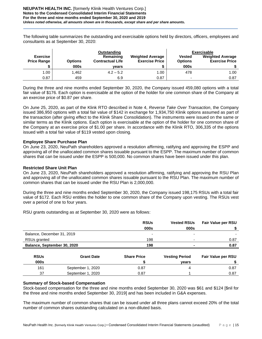The following table summarizes the outstanding and exercisable options held by directors, officers, employees and consultants as at September 30, 2020:

|                                       |                | Outstanding                          |                                                  |                                 | <b>Exercisable</b>                               |
|---------------------------------------|----------------|--------------------------------------|--------------------------------------------------|---------------------------------|--------------------------------------------------|
| <b>Exercise</b><br><b>Price Range</b> | <b>Options</b> | Remaining<br><b>Contractual Life</b> | <b>Weighted Average</b><br><b>Exercise Price</b> | <b>Vested</b><br><b>Options</b> | <b>Weighted Average</b><br><b>Exercise Price</b> |
|                                       | 000s           | vears                                |                                                  | 000s                            |                                                  |
| 1.00                                  | 1.462          | $4.2 - 5.2$                          | 1.00                                             | 478                             | 1.00                                             |
| 0.87                                  | 459            | 6.9                                  | 0.87                                             | $\overline{\phantom{0}}$        | 0.87                                             |

During the three and nine months ended September 30, 2020, the Company issued 459,080 options with a total fair value of \$176. Each option is exercisable at the option of the holder for one common share of the Company at an exercise price of \$0.87 per share.

On June 25, 2020, as part of the Klink RTO described in Note 4, *Reverse Take Over Transaction*, the Company issued 386,950 options with a total fair value of \$142 in exchange for 1,934,750 Klinik options assumed as part of the transaction (after giving effect to the Klinik Share Consolidation). The instruments were issued on the same or similar terms as the Klinik options. Each option is exercisable at the option of the holder for one common share of the Company at an exercise price of \$1.00 per share. In accordance with the Klinik RTO, 306,335 of the options issued with a total fair value of \$119 vested upon closing.

# **Employee Share Purchase Plan**

On June 23, 2020, NeuPath shareholders approved a resolution affirming, ratifying and approving the ESPP and approving all of the unallocated common shares issuable pursuant to the ESPP. The maximum number of common shares that can be issued under the ESPP is 500,000. No common shares have been issued under this plan.

# **Restricted Share Unit Plan**

On June 23, 2020, NeuPath shareholders approved a resolution affirming, ratifying and approving the RSU Plan and approving all of the unallocated common shares issuable pursuant to the RSU Plan. The maximum number of common shares that can be issued under the RSU Plan is 2,000,000.

During the three and nine months ended September 30, 2020, the Company issued 198,175 RSUs with a total fair value of \$172. Each RSU entitles the holder to one common share of the Company upon vesting. The RSUs vest over a period of one to four years.

RSU grants outstanding as at September 30, 2020 were as follows:

|                             |                   | <b>RSUs</b><br>000s      | <b>Vested RSUs</b><br>000s | <b>Fair Value per RSU</b> |
|-----------------------------|-------------------|--------------------------|----------------------------|---------------------------|
| Balance, December 31, 2019  |                   | $\overline{\phantom{0}}$ | $\overline{\phantom{0}}$   |                           |
| RSUs granted                |                   | 198                      | $\overline{\phantom{0}}$   | 0.87                      |
| Balance, September 30, 2020 |                   | 198                      |                            | 0.87                      |
| <b>RSUs</b>                 | <b>Grant Date</b> | <b>Share Price</b>       | <b>Vesting Period</b>      | <b>Fair Value per RSU</b> |
| 000s                        |                   |                          | vears                      |                           |
| 161                         | September 1, 2020 | 0.87                     | 4                          | 0.87                      |
| 37                          | September 1, 2020 | 0.87                     |                            | 0.87                      |

# **Summary of Stock-based Compensation**

Stock-based compensation for the three and nine months ended September 30, 2020 was \$61 and \$124 [\$nil for the three and nine months ended September 30, 2019] and has been included in G&A expenses.

The maximum number of common shares that can be issued under all three plans cannot exceed 20% of the total number of common shares outstanding calculated on a non-diluted basis.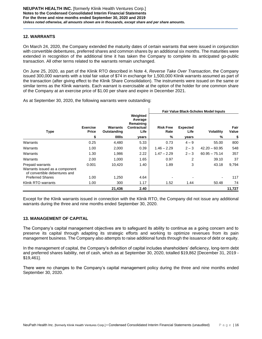# **12. WARRANTS**

On March 24, 2020, the Company extended the maturity dates of certain warrants that were issued in conjunction with convertible debentures, preferred shares and common shares by an additional six months. The maturities were extended in recognition of the additional time it has taken the Company to complete its anticipated go-public transaction. All other terms related to the warrants remain unchanged.

On June 25, 2020, as part of the Klinik RTO described in Note 4, *Reverse Take Over Transaction*, the Company issued 300,000 warrants with a total fair value of \$74 in exchange for 1,500,000 Klinik warrants assumed as part of the transaction (after giving effect to the Klinik Share Consolidation). The instruments were issued on the same or similar terms as the Klinik warrants. Each warrant is exercisable at the option of the holder for one common share of the Company at an exercise price of \$1.00 per share and expire in December 2021.

As at September 30, 2020, the following warrants were outstanding:

|                                                                                     |                                       |                                        |                                                                  |                               |                                  | <b>Fair Value Black-Scholes Model Inputs</b> |                     |  |
|-------------------------------------------------------------------------------------|---------------------------------------|----------------------------------------|------------------------------------------------------------------|-------------------------------|----------------------------------|----------------------------------------------|---------------------|--|
| <b>Type</b>                                                                         | <b>Exercise</b><br><b>Price</b><br>\$ | <b>Warrants</b><br>Outstanding<br>000s | Weighted<br>Average<br>Remaining<br>Contractual<br>Life<br>years | <b>Risk Free</b><br>Rate<br>% | <b>Expected</b><br>Life<br>years | <b>Volatility</b><br>$\%$                    | Fair<br>Value<br>\$ |  |
| Warrants                                                                            | 0.25                                  | 4,480                                  | 5.33                                                             | 0.73                          | $4 - 9$                          | 55.00                                        | 800                 |  |
| Warrants                                                                            | 1.00                                  | 2,000                                  | 0.39                                                             | $1.46 - 2.29$                 | $2 - 3$                          | $42.20 - 60.95$                              | 548                 |  |
| Warrants                                                                            | 1.30                                  | 1,986                                  | 2.22                                                             | $1.47 - 2.29$                 | $2 - 3$                          | $60.95 - 75.14$                              | 357                 |  |
| Warrants                                                                            | 2.00                                  | 1,000                                  | 1.65                                                             | 0.97                          | 2                                | 39.10                                        | 37                  |  |
| Prepaid warrants<br>Warrants issued as a component<br>of convertible debentures and | 0.001                                 | 10.420                                 | 1.40                                                             | 1.89                          | 3                                | 43.18                                        | 9,794               |  |
| <b>Preferred Shares</b>                                                             | 1.00                                  | 1,250                                  | 4.64                                                             |                               |                                  |                                              | 117                 |  |
| Klinik RTO warrants                                                                 | 1.00                                  | 300                                    | 1.17                                                             | 1.52                          | 1.44                             | 50.48                                        | 74                  |  |
|                                                                                     |                                       | 21,436                                 | 2.40                                                             |                               |                                  |                                              | 11,727              |  |

Except for the Klinik warrants issued in connection with the Klinik RTO, the Company did not issue any additional warrants during the three and nine months ended September 30, 2020.

# **13. MANAGEMENT OF CAPITAL**

The Company's capital management objectives are to safeguard its ability to continue as a going concern and to preserve its capital through adapting its strategic efforts and working to optimize revenues from its pain management business. The Company also attempts to raise additional funds through the issuance of debt or equity.

In the management of capital, the Company's definition of capital includes shareholders' deficiency, long-term debt and preferred shares liability, net of cash, which as at September 30, 2020, totalled \$19,862 [December 31, 2019 - \$19,461].

There were no changes to the Company's capital management policy during the three and nine months ended September 30, 2020.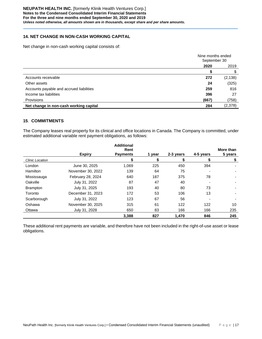# **14. NET CHANGE IN NON-CASH WORKING CAPITAL**

Net change in non-cash working capital consists of:

|                                          | Nine months ended<br>September 30 |          |
|------------------------------------------|-----------------------------------|----------|
|                                          | 2020                              | 2019     |
|                                          |                                   |          |
| Accounts receivable                      | 272                               | (2, 138) |
| Other assets                             | 24                                | (325)    |
| Accounts payable and accrued liabilities | 259                               | 816      |
| Income tax liabilities                   | 396                               | 27       |
| Provisions                               | (667)                             | (758)    |
| Net change in non-cash working capital   | 284                               | (2,378)  |

# **15**. **COMMITMENTS**

The Company leases real property for its clinical and office locations in Canada. The Company is committed, under estimated additional variable rent payment obligations, as follows:

|                        |                   | <b>Additional</b>       |        |           |           |                      |
|------------------------|-------------------|-------------------------|--------|-----------|-----------|----------------------|
|                        | <b>Expiry</b>     | Rent<br><b>Payments</b> | 1 vear | 2-3 years | 4-5 years | More than<br>5 years |
| <b>Clinic Location</b> |                   | S                       | S      | S         | S         | \$                   |
| London                 | June 30, 2025     | 1,069                   | 225    | 450       | 394       |                      |
| <b>Hamilton</b>        | November 30, 2022 | 139                     | 64     | 75        |           |                      |
| Mississauga            | February 28, 2024 | 640                     | 187    | 375       | 78        |                      |
| Oakville               | July 31, 2022     | 87                      | 47     | 40        |           |                      |
| <b>Brampton</b>        | July 31, 2025     | 193                     | 40     | 80        | 73        |                      |
| Toronto                | December 31, 2023 | 172                     | 53     | 106       | 13        |                      |
| Scarborough            | July 31, 2022     | 123                     | 67     | 56        |           |                      |
| Oshawa                 | November 30, 2025 | 315                     | 61     | 122       | 122       | 10                   |
| Ottawa                 | July 31, 2028     | 650                     | 83     | 166       | 166       | 235                  |
|                        |                   | 3,388                   | 827    | 1,470     | 846       | 245                  |

These additional rent payments are variable, and therefore have not been included in the right-of-use asset or lease obligations.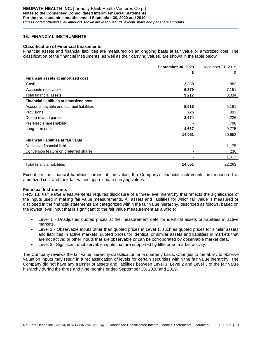# **16. FINANCIAL INSTRUMENTS**

#### **Classification of Financial Instruments**

Financial assets and financial liabilities are measured on an ongoing basis at fair value or amortized cost. The classification of the financial instruments, as well as their carrying values, are shown in the table below:

|                                                | <b>September 30, 2020</b> | December 31, 2019 |
|------------------------------------------------|---------------------------|-------------------|
|                                                | S                         | \$                |
| <b>Financial assets at amortized cost</b>      |                           |                   |
| Cash                                           | 2,338                     | 883               |
| Accounts receivable                            | 6,879                     | 7,151             |
| Total financial assets                         | 9,217                     | 8,034             |
| <b>Financial liabilities at amortized cost</b> |                           |                   |
| Accounts payable and accrued liabilities       | 5,515                     | 5,161             |
| Provisions                                     | 225                       | 892               |
| Due to related parties                         | 3,674                     | 4,226             |
| Preferred shares liability                     |                           | 798               |
| Long-term debt                                 | 4,637                     | 9,775             |
|                                                | 14,051                    | 20,852            |
| Financial liabilities at fair value            |                           |                   |
| Derivative financial liabilities               |                           | 1,175             |
| Conversion feature on preferred shares         |                           | 236               |
|                                                |                           | 1,411             |
| <b>Total financial liabilities</b>             | 14,051                    | 22,263            |

Except for the financial liabilities carried at fair value, the Company's financial instruments are measured at amortized cost and their fair values approximate carrying values.

#### **Financial Instruments**

IFRS 13, *Fair Value Measurements* requires disclosure of a three-level hierarchy that reflects the significance of the inputs used in making fair value measurements. All assets and liabilities for which fair value is measured or disclosed in the financial statements are categorized within the fair value hierarchy, described as follows, based on the lowest level input that is significant to the fair value measurement as a whole:

- Level 1 Unadjusted quoted prices at the measurement date for identical assets or liabilities in active markets.
- Level 2 Observable inputs other than quoted prices in Level 1, such as quoted prices for similar assets and liabilities in active markets; quoted prices for identical or similar assets and liabilities in markets that are not active; or other inputs that are observable or can be corroborated by observable market data.
- Level 3 Significant unobservable inputs that are supported by little or no market activity.

The Company reviews the fair value hierarchy classification on a quarterly basis. Changes to the ability to observe valuation inputs may result in a reclassification of levels for certain securities within the fair value hierarchy. The Company did not have any transfer of assets and liabilities between Level 1, Level 2 and Level 3 of the fair value hierarchy during the three and nine months ended September 30, 2020 and 2019.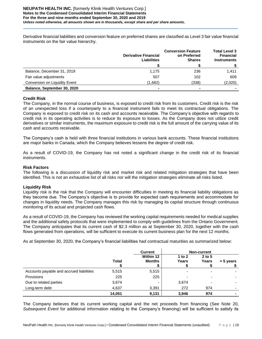Derivative financial liabilities and conversion feature on preferred shares are classified as Level 3 fair value financial instruments on the fair value hierarchy.

|                               | <b>Derivative Financial</b><br><b>Liabilities</b> | <b>Conversion Feature</b><br>on Preferred<br><b>Shares</b> | <b>Total Level 3</b><br><b>Financial</b><br><b>Instruments</b> |
|-------------------------------|---------------------------------------------------|------------------------------------------------------------|----------------------------------------------------------------|
|                               |                                                   |                                                            |                                                                |
| Balance, December 31, 2019    | 1,175                                             | 236                                                        | 1.411                                                          |
| Fair value adjustments        | 507                                               | 102                                                        | 609                                                            |
| Conversion on Liquidity Event | (1,682)                                           | (338)                                                      | (2,020)                                                        |
| Balance, September 30, 2020   | -                                                 | -                                                          |                                                                |

# **Credit Risk**

The Company, in the normal course of business, is exposed to credit risk from its customers. Credit risk is the risk of an unexpected loss if a counterparty to a financial instrument fails to meet its contractual obligations. The Company is exposed to credit risk on its cash and accounts receivable. The Company's objective with regards to credit risk in its operating activities is to reduce its exposure to losses. As the Company does not utilize credit derivatives or similar instruments, the maximum exposure to credit risk is the full amount of the carrying value of its cash and accounts receivable.

The Company's cash is held with three financial institutions in various bank accounts. These financial institutions are major banks in Canada, which the Company believes lessens the degree of credit risk.

As a result of COVID-19, the Company has not noted a significant change in the credit risk of its financial instruments.

# **Risk Factors**

The following is a discussion of liquidity risk and market risk and related mitigation strategies that have been identified. This is not an exhaustive list of all risks nor will the mitigation strategies eliminate all risks listed.

# **Liquidity Risk**

Liquidity risk is the risk that the Company will encounter difficulties in meeting its financial liability obligations as they become due. The Company's objective is to provide for expected cash requirements and accommodate for changes in liquidity needs. The Company manages this risk by managing its capital structure through continuous monitoring of its actual and projected cash flows.

As a result of COVID-19, the Company has reviewed the working capital requirements needed for medical supplies and the additional safety protocols that were implemented to comply with guidelines from the Ontario Government. The Company anticipates that its current cash of \$2.3 million as at September 30, 2020, together with the cash flows generated from operations, will be sufficient to execute its current business plan for the next 12 months.

As at September 30, 2020, the Company's financial liabilities had contractual maturities as summarized below:

|                                          |              | <b>Current</b>      | <b>Non-current</b> |                          |           |
|------------------------------------------|--------------|---------------------|--------------------|--------------------------|-----------|
|                                          | <b>Total</b> | Within 12<br>Months | 1 to $2$<br>Years  | $2$ to 5<br>Years        | > 5 years |
| Accounts payable and accrued liabilities | 5,515        | 5,515               |                    |                          |           |
| Provisions                               | 225          | 225                 | -                  | $\overline{\phantom{0}}$ |           |
| Due to related parties                   | 3,674        | -                   | 3,674              | $\overline{\phantom{0}}$ |           |
| Long-term debt                           | 4,637        | 3,391               | 272                | 974                      |           |
|                                          | 14,051       | 9,131               | 3,946              | 974                      |           |

The Company believes that its current working capital and the net proceeds from financing (See Note 20, *Subsequent Event* for additional information relating to the Company's financing) will be sufficient to satisfy its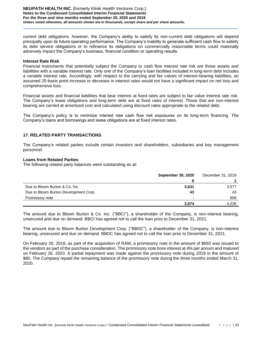current debt obligations, however, the Company's ability to satisfy its non-current debt obligations will depend principally upon its future operating performance. The Company's inability to generate sufficient cash flow to satisfy its debt service obligations or to refinance its obligations on commercially reasonable terms could materially adversely impact the Company's business, financial condition or operating results.

#### **Interest Rate Risk**

Financial instruments that potentially subject the Company to cash flow interest rate risk are those assets and liabilities with a variable interest rate. Only one of the Company's loan facilities included in long-term debt includes a variable interest rate. Accordingly, with respect to the carrying and fair values of interest-bearing liabilities, an assumed 25-basis point increase or decrease in interest rates would not have a significant impact on net loss and comprehensive loss.

Financial assets and financial liabilities that bear interest at fixed rates are subject to fair value interest rate risk. The Company's lease obligations and long-term debt are at fixed rates of interest. Those that are non-interest bearing are carried at amortized cost and calculated using discount rates appropriate to the related debt.

The Company's policy is to minimize interest rate cash flow risk exposures on its long-term financing. The Company's loans and borrowings and lease obligations are at fixed interest rates.

# **17. RELATED PARTY TRANSACTIONS**

The Company's related parties include certain investors and shareholders, subsidiaries and key management personnel.

### **Loans from Related Parties**

The following related party balances were outstanding as at:

|                                       | <b>September 30, 2020</b> | December 31, 2019 |  |
|---------------------------------------|---------------------------|-------------------|--|
|                                       |                           |                   |  |
| Due to Bloom Burton & Co. Inc.        | 3,631                     | 3,577             |  |
| Due to Bloom Burton Development Corp. | 43                        | 43                |  |
| Promissory note                       | -                         | 606               |  |
|                                       | 3.674                     | 4.226             |  |

The amount due to Bloom Burton & Co. Inc. ("BBCI"), a shareholder of the Company, is non-interest bearing, unsecured and due on demand. BBCI has agreed not to call the loan prior to December 31, 2021.

The amount due to Bloom Burton Development Corp. ("BBDC"), a shareholder of the Company, is non-interest bearing, unsecured and due on demand. BBDC has agreed not to call the loan prior to December 31, 2021.

On February 26, 2018, as part of the acquisition of RAM, a promissory note in the amount of \$650 was issued to the vendors as part of the purchase consideration. The promissory note bore interest at 4% per annum and matured on February 26, 2020. A partial repayment was made against the promissory note during 2019 in the amount of \$80. The Company repaid the remaining balance of the promissory note during the three months ended March 31, 2020.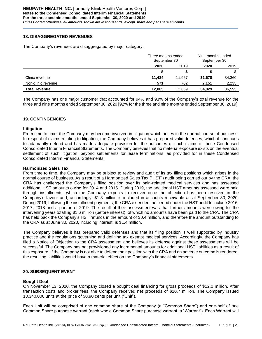# **18. DISAGGREGATED REVENUES**

The Company's revenues are disaggregated by major category:

|                      | Three months ended<br>September 30 |        | Nine months ended<br>September 30 |        |
|----------------------|------------------------------------|--------|-----------------------------------|--------|
|                      | 2020                               | 2019   | 2020                              | 2019   |
|                      |                                    |        |                                   |        |
| Clinic revenue       | 11.434                             | 11.967 | 32,678                            | 34,360 |
| Non-clinic revenue   | 571                                | 702    | 2,151                             | 2,235  |
| <b>Total revenue</b> | 12,005                             | 12.669 | 34,829                            | 36,595 |

The Company has one major customer that accounted for 94% and 93% of the Company's total revenue for the three and nine months ended September 30, 2020 [92% for the three and nine months ended September 30, 2019].

# **19. CONTINGENCIES**

# **Litigation**

From time to time, the Company may become involved in litigation which arises in the normal course of business. In respect of claims relating to litigation, the Company believes it has prepared valid defenses, which it continues to adamantly defend and has made adequate provision for the outcomes of such claims in these Condensed Consolidated Interim Financial Statements. The Company believes that no material exposure exists on the eventual settlement of such litigation, beyond settlements for lease terminations, as provided for in these Condensed Consolidated Interim Financial Statements.

# **Harmonized Sales Tax**

From time to time, the Company may be subject to review and audit of its tax filing positions which arises in the normal course of business. As a result of a Harmonized Sales Tax ("HST") audit being carried out by the CRA, the CRA has challenged the Company's filing position over its pain-related medical services and has assessed additional HST amounts owing for 2014 and 2015. During 2019, the additional HST amounts assessed were paid through installments, which the Company expects to recover once the objection has been resolved in the Company's favour and, accordingly, \$1.3 million is included in accounts receivable as at September 30, 2020. During 2019, following the installment payments, the CRA extended the period under the HST audit to include 2016, 2017, 2018 and a portion of 2019. The result of their assessment was that further amounts were owing for the intervening years totalling \$1.6 million (before interest), of which no amounts have been paid to the CRA. The CRA has held back the Company's HST refunds in the amount of \$0.4 million, and therefore the amount outstanding to the CRA as at June 30, 2020, including interest, is \$1.4 million.

The Company believes it has prepared valid defenses and that its filing position is well supported by industry practice and the regulations governing and defining tax exempt medical services. Accordingly, the Company has filed a Notice of Objection to the CRA assessment and believes its defense against these assessments will be successful. The Company has not provisioned any incremental amounts for additional HST liabilities as a result of this exposure. If the Company is not able to defend their position with the CRA and an adverse outcome is rendered, the resulting liabilities would have a material effect on the Company's financial statements.

# **20. SUBSEQUENT EVENT**

#### **Bought Deal**

On November 13, 2020, the Company closed a bought deal financing for gross proceeds of \$12.0 million. After transaction costs and broker fees, the Company received net proceeds of \$10.7 million. The Company issued 13,340,000 units at the price of \$0.90 cents per unit ("Unit").

Each Unit will be comprised of one common share of the Company (a "Common Share") and one-half of one Common Share purchase warrant (each whole Common Share purchase warrant, a "Warrant"). Each Warrant will